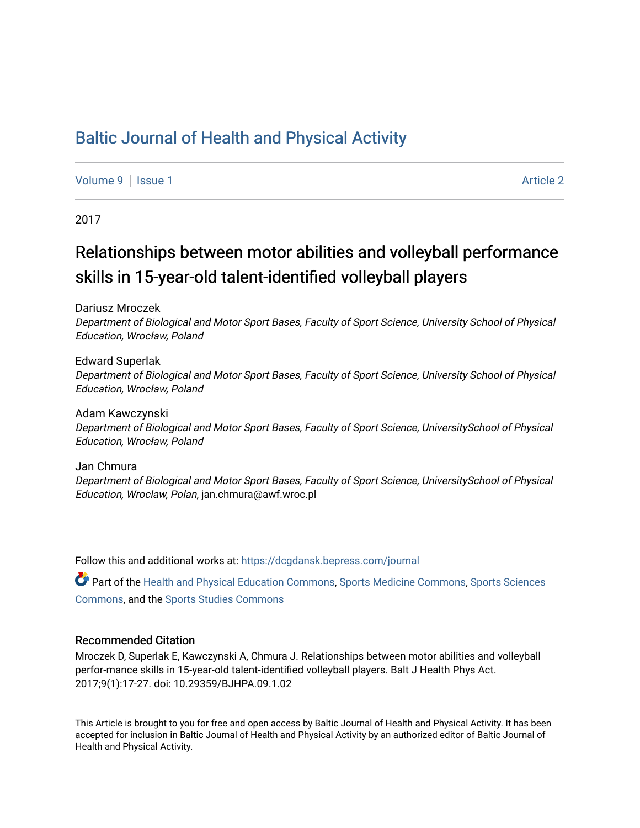# [Baltic Journal of Health and Physical Activity](https://dcgdansk.bepress.com/journal)

[Volume 9](https://dcgdansk.bepress.com/journal/vol9) | [Issue 1](https://dcgdansk.bepress.com/journal/vol9/iss1) Article 2

2017

# Relationships between motor abilities and volleyball performance skills in 15-year-old talent-identified volleyball players

Dariusz Mroczek

Department of Biological and Motor Sport Bases, Faculty of Sport Science, University School of Physical Education, Wrocław, Poland

Edward Superlak Department of Biological and Motor Sport Bases, Faculty of Sport Science, University School of Physical Education, Wrocław, Poland

Adam Kawczynski Department of Biological and Motor Sport Bases, Faculty of Sport Science, UniversitySchool of Physical Education, Wrocław, Poland

Jan Chmura Department of Biological and Motor Sport Bases, Faculty of Sport Science, UniversitySchool of Physical Education, Wroclaw, Polan, jan.chmura@awf.wroc.pl

Follow this and additional works at: [https://dcgdansk.bepress.com/journal](https://dcgdansk.bepress.com/journal?utm_source=dcgdansk.bepress.com%2Fjournal%2Fvol9%2Fiss1%2F2&utm_medium=PDF&utm_campaign=PDFCoverPages)

Part of the [Health and Physical Education Commons](http://network.bepress.com/hgg/discipline/1327?utm_source=dcgdansk.bepress.com%2Fjournal%2Fvol9%2Fiss1%2F2&utm_medium=PDF&utm_campaign=PDFCoverPages), [Sports Medicine Commons,](http://network.bepress.com/hgg/discipline/1331?utm_source=dcgdansk.bepress.com%2Fjournal%2Fvol9%2Fiss1%2F2&utm_medium=PDF&utm_campaign=PDFCoverPages) [Sports Sciences](http://network.bepress.com/hgg/discipline/759?utm_source=dcgdansk.bepress.com%2Fjournal%2Fvol9%2Fiss1%2F2&utm_medium=PDF&utm_campaign=PDFCoverPages) [Commons](http://network.bepress.com/hgg/discipline/759?utm_source=dcgdansk.bepress.com%2Fjournal%2Fvol9%2Fiss1%2F2&utm_medium=PDF&utm_campaign=PDFCoverPages), and the [Sports Studies Commons](http://network.bepress.com/hgg/discipline/1198?utm_source=dcgdansk.bepress.com%2Fjournal%2Fvol9%2Fiss1%2F2&utm_medium=PDF&utm_campaign=PDFCoverPages) 

#### Recommended Citation

Mroczek D, Superlak E, Kawczynski A, Chmura J. Relationships between motor abilities and volleyball perfor-mance skills in 15-year-old talent-identified volleyball players. Balt J Health Phys Act. 2017;9(1):17-27. doi: 10.29359/BJHPA.09.1.02

This Article is brought to you for free and open access by Baltic Journal of Health and Physical Activity. It has been accepted for inclusion in Baltic Journal of Health and Physical Activity by an authorized editor of Baltic Journal of Health and Physical Activity.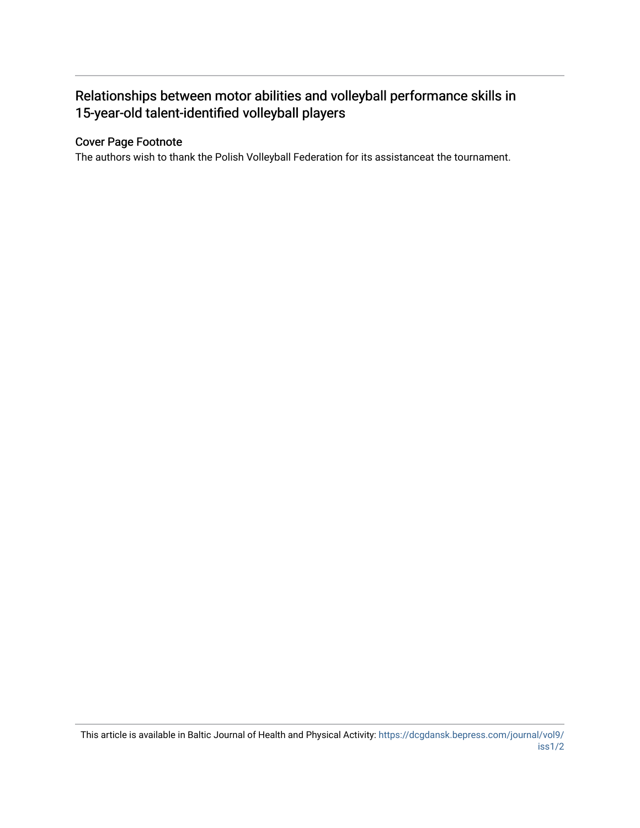# Relationships between motor abilities and volleyball performance skills in 15-year-old talent-identified volleyball players

## Cover Page Footnote

The authors wish to thank the Polish Volleyball Federation for its assistanceat the tournament.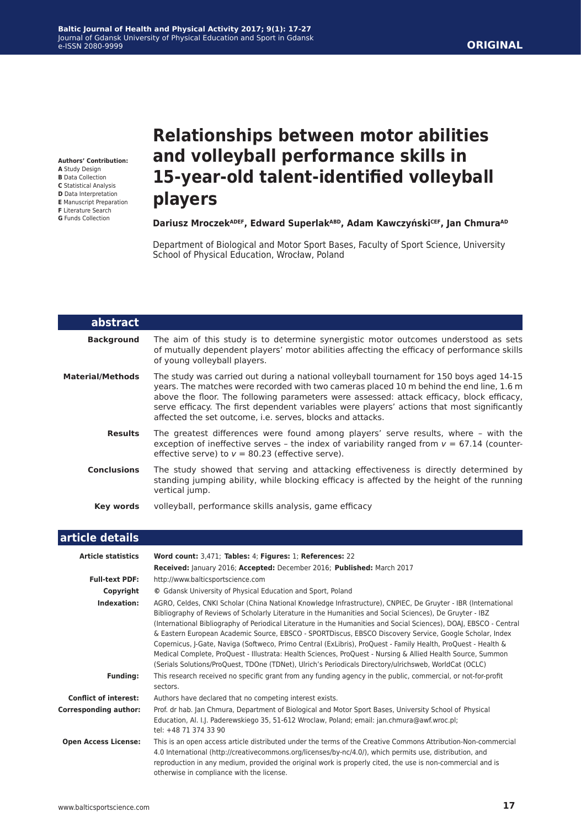**Authors' Contribution: A** Study Design

- **B** Data Collection
- **C** Statistical Analysis
- **D** Data Interpretation
- **E** Manuscript Preparation
- **F** Literature Search

#### **G** Funds Collection

L

# **Relationships between motor abilities and volleyball performance skills in 15-year-old talent-identified volleyball players**

#### **Dariusz MroczekADEF, Edward SuperlakABD, Adam KawczyńskiCEF, Jan ChmuraAD**

Department of Biological and Motor Sport Bases, Faculty of Sport Science, University School of Physical Education, Wrocław, Poland

| abstract                |                                                                                                                                                                                                                                                                                                                                                                                                                                                 |
|-------------------------|-------------------------------------------------------------------------------------------------------------------------------------------------------------------------------------------------------------------------------------------------------------------------------------------------------------------------------------------------------------------------------------------------------------------------------------------------|
| <b>Background</b>       | The aim of this study is to determine synergistic motor outcomes understood as sets<br>of mutually dependent players' motor abilities affecting the efficacy of performance skills<br>of young volleyball players.                                                                                                                                                                                                                              |
| <b>Material/Methods</b> | The study was carried out during a national volleyball tournament for 150 boys aged 14-15<br>years. The matches were recorded with two cameras placed 10 m behind the end line, 1.6 m<br>above the floor. The following parameters were assessed: attack efficacy, block efficacy,<br>serve efficacy. The first dependent variables were players' actions that most significantly<br>affected the set outcome, i.e. serves, blocks and attacks. |
| <b>Results</b>          | The greatest differences were found among players' serve results, where - with the<br>exception of ineffective serves - the index of variability ranged from $v = 67.14$ (counter-<br>effective serve) to $v = 80.23$ (effective serve).                                                                                                                                                                                                        |
| <b>Conclusions</b>      | The study showed that serving and attacking effectiveness is directly determined by<br>standing jumping ability, while blocking efficacy is affected by the height of the running<br>vertical jump.                                                                                                                                                                                                                                             |
| Key words               | volleyball, performance skills analysis, game efficacy                                                                                                                                                                                                                                                                                                                                                                                          |

| article details              |                                                                                                                                                                                                                                                                                                                                                                                                                                                                                                                                                                                                                                                                                                                                                                                                      |
|------------------------------|------------------------------------------------------------------------------------------------------------------------------------------------------------------------------------------------------------------------------------------------------------------------------------------------------------------------------------------------------------------------------------------------------------------------------------------------------------------------------------------------------------------------------------------------------------------------------------------------------------------------------------------------------------------------------------------------------------------------------------------------------------------------------------------------------|
| <b>Article statistics</b>    | Word count: 3,471; Tables: 4; Figures: 1; References: 22                                                                                                                                                                                                                                                                                                                                                                                                                                                                                                                                                                                                                                                                                                                                             |
|                              | Received: January 2016; Accepted: December 2016; Published: March 2017                                                                                                                                                                                                                                                                                                                                                                                                                                                                                                                                                                                                                                                                                                                               |
| <b>Full-text PDF:</b>        | http://www.balticsportscience.com                                                                                                                                                                                                                                                                                                                                                                                                                                                                                                                                                                                                                                                                                                                                                                    |
| Copyright                    | © Gdansk University of Physical Education and Sport, Poland                                                                                                                                                                                                                                                                                                                                                                                                                                                                                                                                                                                                                                                                                                                                          |
| Indexation:                  | AGRO, Celdes, CNKI Scholar (China National Knowledge Infrastructure), CNPIEC, De Gruyter - IBR (International<br>Bibliography of Reviews of Scholarly Literature in the Humanities and Social Sciences), De Gruyter - IBZ<br>(International Bibliography of Periodical Literature in the Humanities and Social Sciences), DOAJ, EBSCO - Central<br>& Eastern European Academic Source, EBSCO - SPORTDiscus, EBSCO Discovery Service, Google Scholar, Index<br>Copernicus, J-Gate, Naviga (Softweco, Primo Central (ExLibris), ProQuest - Family Health, ProQuest - Health &<br>Medical Complete, ProQuest - Illustrata: Health Sciences, ProQuest - Nursing & Allied Health Source, Summon<br>(Serials Solutions/ProQuest, TDOne (TDNet), Ulrich's Periodicals Directory/ulrichsweb, WorldCat (OCLC) |
| <b>Funding:</b>              | This research received no specific grant from any funding agency in the public, commercial, or not-for-profit<br>sectors.                                                                                                                                                                                                                                                                                                                                                                                                                                                                                                                                                                                                                                                                            |
| <b>Conflict of interest:</b> | Authors have declared that no competing interest exists.                                                                                                                                                                                                                                                                                                                                                                                                                                                                                                                                                                                                                                                                                                                                             |
| <b>Corresponding author:</b> | Prof. dr hab. Jan Chmura, Department of Biological and Motor Sport Bases, University School of Physical<br>Education, Al. I.J. Paderewskiego 35, 51-612 Wroclaw, Poland; email: jan.chmura@awf.wroc.pl;<br>tel: +48 71 374 33 90                                                                                                                                                                                                                                                                                                                                                                                                                                                                                                                                                                     |
| <b>Open Access License:</b>  | This is an open access article distributed under the terms of the Creative Commons Attribution-Non-commercial<br>4.0 International (http://creativecommons.org/licenses/by-nc/4.0/), which permits use, distribution, and<br>reproduction in any medium, provided the original work is properly cited, the use is non-commercial and is<br>otherwise in compliance with the license.                                                                                                                                                                                                                                                                                                                                                                                                                 |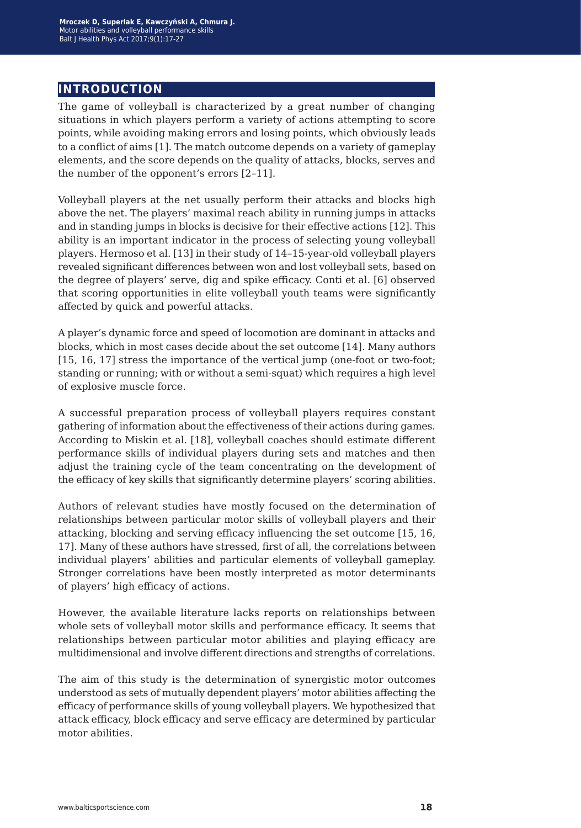# **introduction**

The game of volleyball is characterized by a great number of changing situations in which players perform a variety of actions attempting to score points, while avoiding making errors and losing points, which obviously leads to a conflict of aims [1]. The match outcome depends on a variety of gameplay elements, and the score depends on the quality of attacks, blocks, serves and the number of the opponent's errors [2–11].

Volleyball players at the net usually perform their attacks and blocks high above the net. The players' maximal reach ability in running jumps in attacks and in standing jumps in blocks is decisive for their effective actions [12]. This ability is an important indicator in the process of selecting young volleyball players. Hermoso et al. [13] in their study of 14–15-year-old volleyball players revealed significant differences between won and lost volleyball sets, based on the degree of players' serve, dig and spike efficacy. Conti et al. [6] observed that scoring opportunities in elite volleyball youth teams were significantly affected by quick and powerful attacks.

A player's dynamic force and speed of locomotion are dominant in attacks and blocks, which in most cases decide about the set outcome [14]. Many authors [15, 16, 17] stress the importance of the vertical jump (one-foot or two-foot; standing or running; with or without a semi-squat) which requires a high level of explosive muscle force.

A successful preparation process of volleyball players requires constant gathering of information about the effectiveness of their actions during games. According to Miskin et al. [18], volleyball coaches should estimate different performance skills of individual players during sets and matches and then adjust the training cycle of the team concentrating on the development of the efficacy of key skills that significantly determine players' scoring abilities.

Authors of relevant studies have mostly focused on the determination of relationships between particular motor skills of volleyball players and their attacking, blocking and serving efficacy influencing the set outcome [15, 16, 17]. Many of these authors have stressed, first of all, the correlations between individual players' abilities and particular elements of volleyball gameplay. Stronger correlations have been mostly interpreted as motor determinants of players' high efficacy of actions.

However, the available literature lacks reports on relationships between whole sets of volleyball motor skills and performance efficacy. It seems that relationships between particular motor abilities and playing efficacy are multidimensional and involve different directions and strengths of correlations.

The aim of this study is the determination of synergistic motor outcomes understood as sets of mutually dependent players' motor abilities affecting the efficacy of performance skills of young volleyball players. We hypothesized that attack efficacy, block efficacy and serve efficacy are determined by particular motor abilities.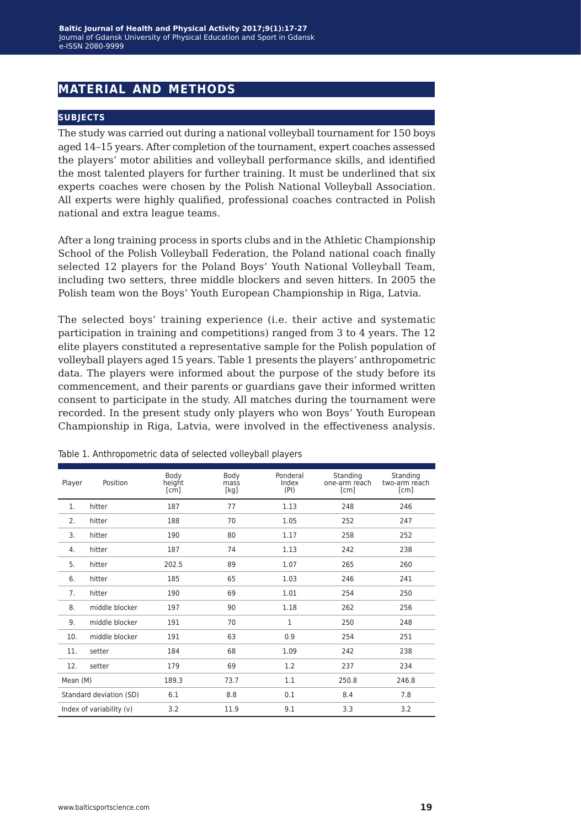# **material and methods**

#### **subjects**

The study was carried out during a national volleyball tournament for 150 boys aged 14–15 years. After completion of the tournament, expert coaches assessed the players' motor abilities and volleyball performance skills, and identified the most talented players for further training. It must be underlined that six experts coaches were chosen by the Polish National Volleyball Association. All experts were highly qualified, professional coaches contracted in Polish national and extra league teams.

After a long training process in sports clubs and in the Athletic Championship School of the Polish Volleyball Federation, the Poland national coach finally selected 12 players for the Poland Boys' Youth National Volleyball Team, including two setters, three middle blockers and seven hitters. In 2005 the Polish team won the Boys' Youth European Championship in Riga, Latvia.

The selected boys' training experience (i.e. their active and systematic participation in training and competitions) ranged from 3 to 4 years. The 12 elite players constituted a representative sample for the Polish population of volleyball players aged 15 years. Table 1 presents the players' anthropometric data. The players were informed about the purpose of the study before its commencement, and their parents or guardians gave their informed written consent to participate in the study. All matches during the tournament were recorded. In the present study only players who won Boys' Youth European Championship in Riga, Latvia, were involved in the effectiveness analysis.

| Player   | Position                                            | Body<br>height<br>$\lceil c\bar{m} \rceil$ | Body<br>mass<br>[kg] | Ponderal<br>Index<br>(PI) | Standing<br>one-arm reach<br>[cm] | Standing<br>two-arm reach<br>[cm] |
|----------|-----------------------------------------------------|--------------------------------------------|----------------------|---------------------------|-----------------------------------|-----------------------------------|
| 1.       | hitter                                              | 187                                        | 77                   | 1.13                      | 248                               | 246                               |
| 2.       | hitter                                              | 188                                        | 70                   | 1.05                      | 252                               | 247                               |
| 3.       | hitter                                              | 190                                        | 80                   | 1.17                      | 258                               | 252                               |
| 4.       | hitter                                              | 187                                        | 74                   | 1.13                      | 242                               | 238                               |
| 5.       | hitter                                              | 202.5                                      | 89                   | 1.07                      | 265                               | 260                               |
| 6.       | hitter                                              | 185                                        | 65                   | 1.03                      | 246                               | 241                               |
| 7.       | hitter                                              | 190                                        | 69                   | 1.01                      | 254                               | 250                               |
| 8.       | middle blocker                                      | 197                                        | 90                   | 1.18                      | 262                               | 256                               |
| 9.       | middle blocker                                      | 191                                        | 70                   | 1                         | 250                               | 248                               |
| 10.      | middle blocker                                      | 191                                        | 63                   | 0.9                       | 254                               | 251                               |
| 11.      | setter                                              | 184                                        | 68                   | 1.09                      | 242                               | 238                               |
| 12.      | setter                                              | 179                                        | 69                   | 1.2                       | 237                               | 234                               |
| Mean (M) |                                                     | 250.8<br>189.3<br>73.7<br>1.1              |                      | 246.8                     |                                   |                                   |
|          | 0.1<br>6.1<br>8.8<br>8.4<br>Standard deviation (SD) |                                            | 7.8                  |                           |                                   |                                   |
|          | Index of variability (v)                            | 11.9<br>9.1<br>3.3<br>3.2                  |                      | 3.2                       |                                   |                                   |

Table 1. Anthropometric data of selected volleyball players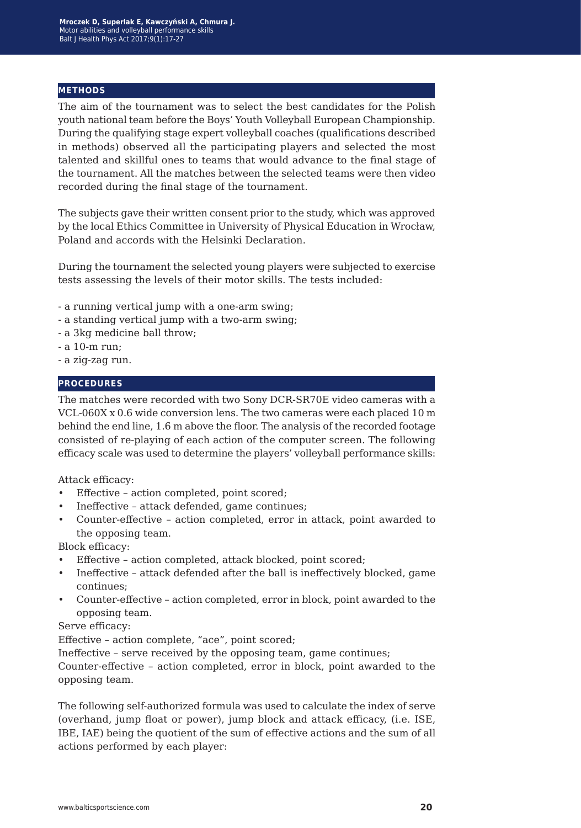#### **methods**

The aim of the tournament was to select the best candidates for the Polish youth national team before the Boys' Youth Volleyball European Championship. During the qualifying stage expert volleyball coaches (qualifications described in methods) observed all the participating players and selected the most talented and skillful ones to teams that would advance to the final stage of the tournament. All the matches between the selected teams were then video recorded during the final stage of the tournament.

The subjects gave their written consent prior to the study, which was approved by the local Ethics Committee in University of Physical Education in Wrocław, Poland and accords with the Helsinki Declaration.

During the tournament the selected young players were subjected to exercise tests assessing the levels of their motor skills. The tests included:

- a running vertical jump with a one-arm swing;
- a standing vertical jump with a two-arm swing;
- a 3kg medicine ball throw;
- a 10-m run;
- a zig-zag run.

#### **procedures**

The matches were recorded with two Sony DCR-SR70E video cameras with a VCL-060X x 0.6 wide conversion lens. The two cameras were each placed 10 m behind the end line, 1.6 m above the floor. The analysis of the recorded footage consisted of re-playing of each action of the computer screen. The following efficacy scale was used to determine the players' volleyball performance skills:

Attack efficacy:

- Effective action completed, point scored;
- Ineffective attack defended, game continues;
- Counter-effective action completed, error in attack, point awarded to the opposing team.

Block efficacy:

- Effective action completed, attack blocked, point scored;
- Ineffective attack defended after the ball is ineffectively blocked, game continues;
- Counter-effective action completed, error in block, point awarded to the opposing team.

Serve efficacy:

Effective – action complete, "ace", point scored;

Ineffective – serve received by the opposing team, game continues;

Counter-effective – action completed, error in block, point awarded to the opposing team.

The following self-authorized formula was used to calculate the index of serve (overhand, jump float or power), jump block and attack efficacy, (i.e. ISE, IBE, IAE) being the quotient of the sum of effective actions and the sum of all actions performed by each player: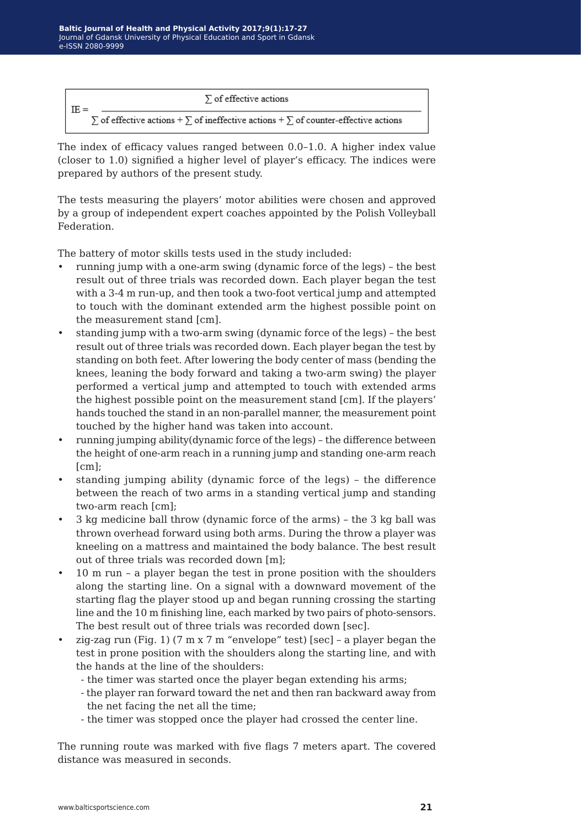

The index of efficacy values ranged between 0.0–1.0. A higher index value (closer to 1.0) signified a higher level of player's efficacy. The indices were prepared by authors of the present study.

The tests measuring the players' motor abilities were chosen and approved by a group of independent expert coaches appointed by the Polish Volleyball Federation.

The battery of motor skills tests used in the study included:

- running jump with a one-arm swing (dynamic force of the legs) the best result out of three trials was recorded down. Each player began the test with a 3-4 m run-up, and then took a two-foot vertical jump and attempted to touch with the dominant extended arm the highest possible point on the measurement stand [cm].
- standing jump with a two-arm swing (dynamic force of the legs) the best result out of three trials was recorded down. Each player began the test by standing on both feet. After lowering the body center of mass (bending the knees, leaning the body forward and taking a two-arm swing) the player performed a vertical jump and attempted to touch with extended arms the highest possible point on the measurement stand [cm]. If the players' hands touched the stand in an non-parallel manner, the measurement point touched by the higher hand was taken into account.
- running jumping ability(dynamic force of the legs) the difference between the height of one-arm reach in a running jump and standing one-arm reach  $[cm]$ ;
- standing jumping ability (dynamic force of the legs) the difference between the reach of two arms in a standing vertical jump and standing two-arm reach [cm];
- 3 kg medicine ball throw (dynamic force of the arms) the 3 kg ball was thrown overhead forward using both arms. During the throw a player was kneeling on a mattress and maintained the body balance. The best result out of three trials was recorded down [m];
- 10 m run a player began the test in prone position with the shoulders along the starting line. On a signal with a downward movement of the starting flag the player stood up and began running crossing the starting line and the 10 m finishing line, each marked by two pairs of photo-sensors. The best result out of three trials was recorded down [sec].
- zig-zag run (Fig. 1) (7 m x 7 m "envelope" test) [sec] a player began the test in prone position with the shoulders along the starting line, and with the hands at the line of the shoulders:
	- the timer was started once the player began extending his arms;
	- the player ran forward toward the net and then ran backward away from the net facing the net all the time;
	- the timer was stopped once the player had crossed the center line.

The running route was marked with five flags 7 meters apart. The covered distance was measured in seconds.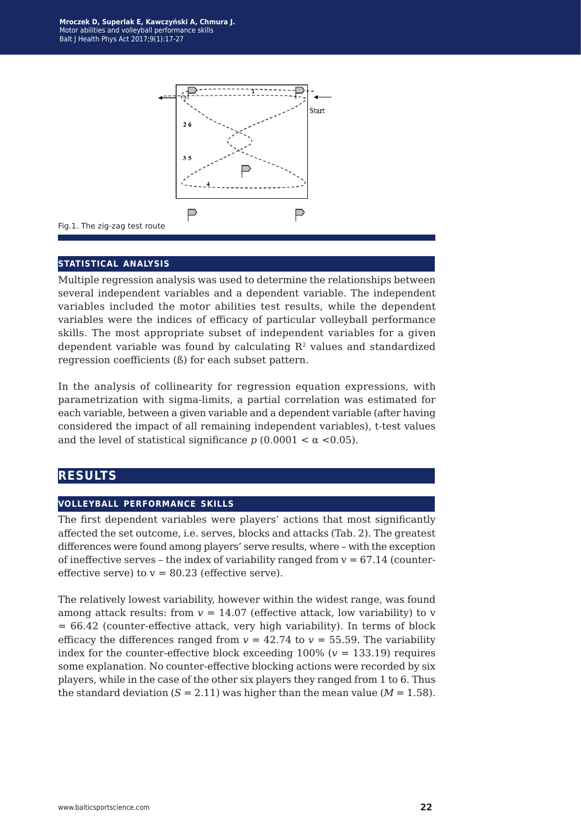

Fig.1. The zig-zag test route

#### **statistical analysis**

Multiple regression analysis was used to determine the relationships between several independent variables and a dependent variable. The independent variables included the motor abilities test results, while the dependent variables were the indices of efficacy of particular volleyball performance skills. The most appropriate subset of independent variables for a given dependent variable was found by calculating  $R<sup>2</sup>$  values and standardized regression coefficients (ß) for each subset pattern.

In the analysis of collinearity for regression equation expressions, with parametrization with sigma-limits, a partial correlation was estimated for each variable, between a given variable and a dependent variable (after having considered the impact of all remaining independent variables), t-test values and the level of statistical significance  $p(0.0001 < \alpha < 0.05)$ .

### **results**

#### **volleyball performance skills**

The first dependent variables were players' actions that most significantly affected the set outcome, i.e. serves, blocks and attacks (Tab. 2). The greatest differences were found among players' serve results, where – with the exception of ineffective serves – the index of variability ranged from  $v = 67.14$  (countereffective serve) to  $v = 80.23$  (effective serve).

The relatively lowest variability, however within the widest range, was found among attack results: from  $v = 14.07$  (effective attack, low variability) to v = 66.42 (counter-effective attack, very high variability). In terms of block efficacy the differences ranged from  $v = 42.74$  to  $v = 55.59$ . The variability index for the counter-effective block exceeding  $100\%$  ( $v = 133.19$ ) requires some explanation. No counter-effective blocking actions were recorded by six players, while in the case of the other six players they ranged from 1 to 6. Thus the standard deviation  $(S = 2.11)$  was higher than the mean value  $(M = 1.58)$ .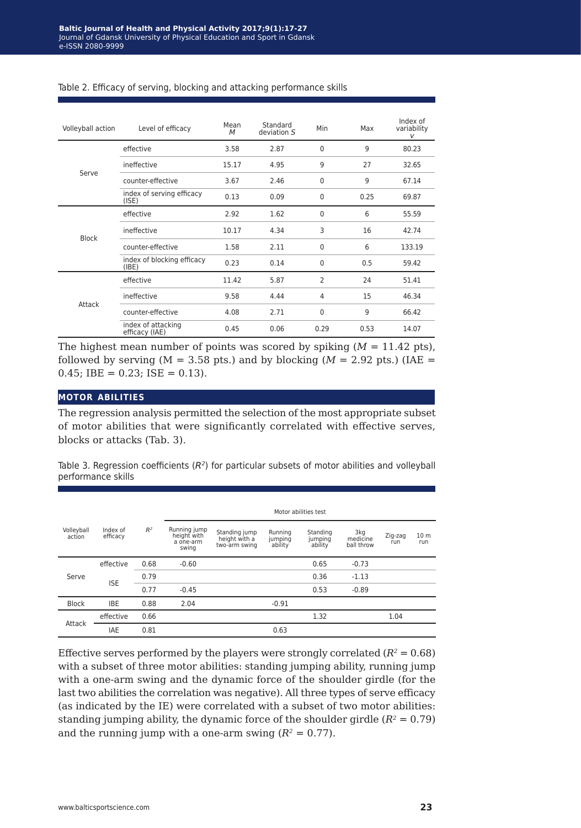| Volleyball action     | Level of efficacy                                                                                                                                                                                     | Mean<br>M                                                                                       | Standard<br>deviation S | Min         | Max  | Index of<br>variability<br>V |
|-----------------------|-------------------------------------------------------------------------------------------------------------------------------------------------------------------------------------------------------|-------------------------------------------------------------------------------------------------|-------------------------|-------------|------|------------------------------|
|                       | effective                                                                                                                                                                                             | 3.58<br>15.17<br>3.67<br>0.13<br>2.92<br>10.17<br>1.58<br>0.23<br>11.42<br>9.58<br>4.08<br>0.45 | 2.87                    | $\Omega$    | 9    | 80.23                        |
| Serve<br><b>Block</b> | ineffective                                                                                                                                                                                           |                                                                                                 | 4.95                    | 9           | 27   | 32.65                        |
|                       | counter-effective                                                                                                                                                                                     |                                                                                                 | 2.46                    | 0           | 9    | 67.14                        |
|                       | index of serving efficacy<br>(ISE)                                                                                                                                                                    |                                                                                                 | 0.09                    | $\mathbf 0$ | 0.25 | 69.87                        |
|                       | effective                                                                                                                                                                                             |                                                                                                 | 1.62                    | 0           | 6    | 55.59                        |
|                       | ineffective                                                                                                                                                                                           |                                                                                                 | 4.34                    | 3           | 16   | 42.74                        |
|                       | counter-effective                                                                                                                                                                                     |                                                                                                 | 2.11                    | 0           | 6    | 133.19                       |
|                       | index of blocking efficacy<br>0<br>0.14<br>(IBE)<br>2<br>5.87<br>effective<br>ineffective<br>4<br>4.44<br>9<br>counter-effective<br>2.71<br>0<br>index of attacking<br>0.06<br>0.29<br>efficacy (IAE) | 0.5                                                                                             | 59.42                   |             |      |                              |
|                       |                                                                                                                                                                                                       |                                                                                                 |                         |             | 24   | 51.41                        |
| Attack                |                                                                                                                                                                                                       |                                                                                                 |                         |             | 15   | 46.34                        |
|                       |                                                                                                                                                                                                       |                                                                                                 |                         |             |      | 66.42                        |
|                       |                                                                                                                                                                                                       |                                                                                                 |                         |             | 0.53 | 14.07                        |

#### Table 2. Efficacy of serving, blocking and attacking performance skills

The highest mean number of points was scored by spiking  $(M = 11.42 \text{ pts})$ , followed by serving ( $M = 3.58$  pts.) and by blocking ( $M = 2.92$  pts.) (IAE =  $0.45$ ; IBE = 0.23; ISE = 0.13).

#### **motor abilities**

The regression analysis permitted the selection of the most appropriate subset of motor abilities that were significantly correlated with effective serves, blocks or attacks (Tab. 3).

Table 3. Regression coefficients (*R2*) for particular subsets of motor abilities and volleyball performance skills

|                      |                      |       | Motor abilities test                              |                                                 |                               |                                |                               |                |                        |
|----------------------|----------------------|-------|---------------------------------------------------|-------------------------------------------------|-------------------------------|--------------------------------|-------------------------------|----------------|------------------------|
| Volleyball<br>action | Index of<br>efficacy | $R^2$ | Running jump<br>height with<br>a one-arm<br>swing | Standing jump<br>height with a<br>two-arm swing | Running<br>jumping<br>ability | Standing<br>jumping<br>ability | 3kg<br>medicine<br>ball throw | Zig-zag<br>run | 10 <sub>m</sub><br>run |
| Serve                | effective            | 0.68  | $-0.60$                                           |                                                 |                               | 0.65                           | $-0.73$                       |                |                        |
|                      | <b>ISE</b>           | 0.79  |                                                   |                                                 |                               | 0.36                           | $-1.13$                       |                |                        |
|                      |                      | 0.77  | $-0.45$                                           |                                                 |                               | 0.53                           | $-0.89$                       |                |                        |
| <b>Block</b>         | <b>IBE</b>           | 0.88  | 2.04                                              |                                                 | $-0.91$                       |                                |                               |                |                        |
| Attack               | effective            | 0.66  |                                                   |                                                 |                               | 1.32                           |                               | 1.04           |                        |
|                      | <b>IAE</b>           | 0.81  |                                                   |                                                 | 0.63                          |                                |                               |                |                        |

Effective serves performed by the players were strongly correlated  $(R^2 = 0.68)$ with a subset of three motor abilities: standing jumping ability, running jump with a one-arm swing and the dynamic force of the shoulder girdle (for the last two abilities the correlation was negative). All three types of serve efficacy (as indicated by the IE) were correlated with a subset of two motor abilities: standing jumping ability, the dynamic force of the shoulder girdle  $(R^2 = 0.79)$ and the running jump with a one-arm swing  $(R^2 = 0.77)$ .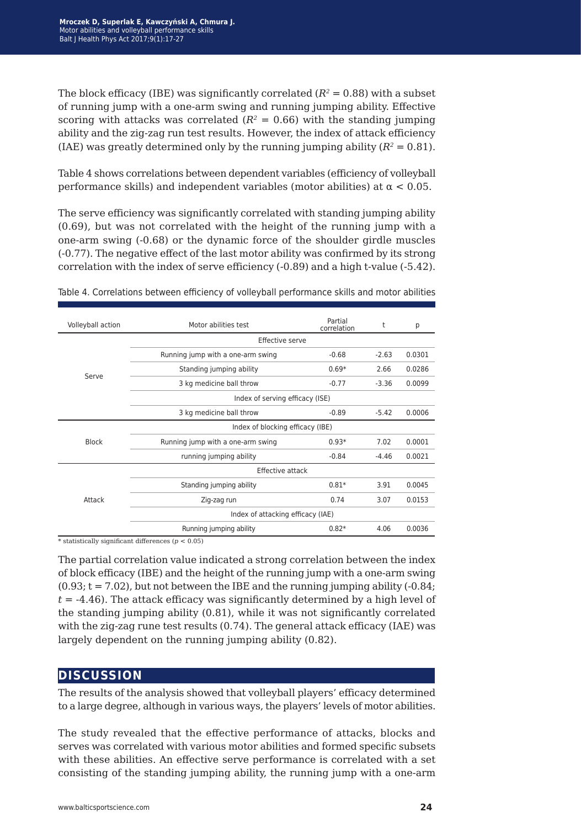The block efficacy (IBE) was significantly correlated  $(R^2 = 0.88)$  with a subset of running jump with a one-arm swing and running jumping ability. Effective scoring with attacks was correlated  $(R^2 = 0.66)$  with the standing jumping ability and the zig-zag run test results. However, the index of attack efficiency (IAE) was greatly determined only by the running jumping ability  $(R^2 = 0.81)$ .

Table 4 shows correlations between dependent variables (efficiency of volleyball performance skills) and independent variables (motor abilities) at  $\alpha$  < 0.05.

The serve efficiency was significantly correlated with standing jumping ability (0.69), but was not correlated with the height of the running jump with a one-arm swing (-0.68) or the dynamic force of the shoulder girdle muscles (-0.77). The negative effect of the last motor ability was confirmed by its strong correlation with the index of serve efficiency (-0.89) and a high t-value (-5.42).

| Volleyball action               | Motor abilities test              | Partial<br>correlation                                                                                                       | t       | р      |  |  |  |  |
|---------------------------------|-----------------------------------|------------------------------------------------------------------------------------------------------------------------------|---------|--------|--|--|--|--|
|                                 |                                   |                                                                                                                              |         |        |  |  |  |  |
| Serve<br><b>Block</b><br>Attack | Running jump with a one-arm swing | $-0.68$                                                                                                                      | $-2.63$ | 0.0301 |  |  |  |  |
|                                 | Standing jumping ability          | $0.69*$                                                                                                                      | 2.66    | 0.0286 |  |  |  |  |
|                                 | 3 kg medicine ball throw          | $-0.77$                                                                                                                      | $-3.36$ | 0.0099 |  |  |  |  |
|                                 | Index of serving efficacy (ISE)   |                                                                                                                              |         |        |  |  |  |  |
|                                 | 3 kg medicine ball throw          | $-0.89$                                                                                                                      | $-5.42$ | 0.0006 |  |  |  |  |
|                                 | Index of blocking efficacy (IBE)  |                                                                                                                              |         |        |  |  |  |  |
|                                 | Running jump with a one-arm swing | $0.93*$                                                                                                                      | 7.02    | 0.0001 |  |  |  |  |
|                                 | running jumping ability           | $-0.84$                                                                                                                      | $-4.46$ | 0.0021 |  |  |  |  |
|                                 |                                   | Effective serve<br><b>Effective attack</b><br>$0.81*$<br>Zig-zag run<br>0.74<br>Index of attacking efficacy (IAE)<br>$0.82*$ |         |        |  |  |  |  |
|                                 | Standing jumping ability          |                                                                                                                              | 3.91    | 0.0045 |  |  |  |  |
|                                 |                                   |                                                                                                                              | 3.07    | 0.0153 |  |  |  |  |
|                                 |                                   |                                                                                                                              |         |        |  |  |  |  |
|                                 | Running jumping ability           |                                                                                                                              | 4.06    | 0.0036 |  |  |  |  |

Table 4. Correlations between efficiency of volleyball performance skills and motor abilities

 $*$  statistically significant differences ( $p < 0.05$ )

The partial correlation value indicated a strong correlation between the index of block efficacy (IBE) and the height of the running jump with a one-arm swing  $(0.93; t = 7.02)$ , but not between the IBE and the running jumping ability  $(-0.84; t)$ *t* = -4.46). The attack efficacy was significantly determined by a high level of the standing jumping ability (0.81), while it was not significantly correlated with the zig-zag rune test results  $(0.74)$ . The general attack efficacy (IAE) was largely dependent on the running jumping ability (0.82).

### **discussion**

The results of the analysis showed that volleyball players' efficacy determined to a large degree, although in various ways, the players' levels of motor abilities.

The study revealed that the effective performance of attacks, blocks and serves was correlated with various motor abilities and formed specific subsets with these abilities. An effective serve performance is correlated with a set consisting of the standing jumping ability, the running jump with a one-arm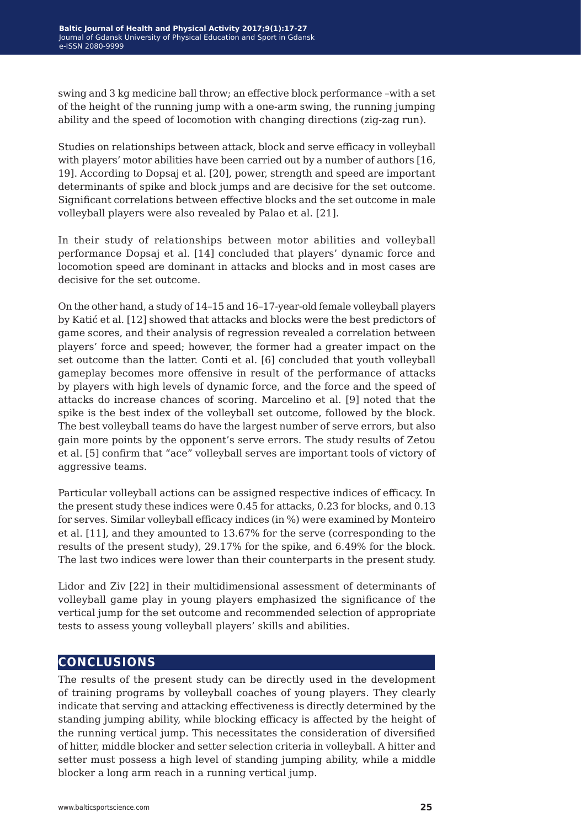swing and 3 kg medicine ball throw; an effective block performance –with a set of the height of the running jump with a one-arm swing, the running jumping ability and the speed of locomotion with changing directions (zig-zag run).

Studies on relationships between attack, block and serve efficacy in volleyball with players' motor abilities have been carried out by a number of authors [16, 19]. According to Dopsaj et al. [20], power, strength and speed are important determinants of spike and block jumps and are decisive for the set outcome. Significant correlations between effective blocks and the set outcome in male volleyball players were also revealed by Palao et al. [21].

In their study of relationships between motor abilities and volleyball performance Dopsaj et al. [14] concluded that players' dynamic force and locomotion speed are dominant in attacks and blocks and in most cases are decisive for the set outcome.

On the other hand, a study of 14–15 and 16–17-year-old female volleyball players by Katić et al. [12] showed that attacks and blocks were the best predictors of game scores, and their analysis of regression revealed a correlation between players' force and speed; however, the former had a greater impact on the set outcome than the latter. Conti et al. [6] concluded that youth volleyball gameplay becomes more offensive in result of the performance of attacks by players with high levels of dynamic force, and the force and the speed of attacks do increase chances of scoring. Marcelino et al. [9] noted that the spike is the best index of the volleyball set outcome, followed by the block. The best volleyball teams do have the largest number of serve errors, but also gain more points by the opponent's serve errors. The study results of Zetou et al. [5] confirm that "ace" volleyball serves are important tools of victory of aggressive teams.

Particular volleyball actions can be assigned respective indices of efficacy. In the present study these indices were 0.45 for attacks, 0.23 for blocks, and 0.13 for serves. Similar volleyball efficacy indices (in %) were examined by Monteiro et al. [11], and they amounted to 13.67% for the serve (corresponding to the results of the present study), 29.17% for the spike, and 6.49% for the block. The last two indices were lower than their counterparts in the present study.

Lidor and Ziv [22] in their multidimensional assessment of determinants of volleyball game play in young players emphasized the significance of the vertical jump for the set outcome and recommended selection of appropriate tests to assess young volleyball players' skills and abilities.

### **conclusions**

The results of the present study can be directly used in the development of training programs by volleyball coaches of young players. They clearly indicate that serving and attacking effectiveness is directly determined by the standing jumping ability, while blocking efficacy is affected by the height of the running vertical jump. This necessitates the consideration of diversified of hitter, middle blocker and setter selection criteria in volleyball. A hitter and setter must possess a high level of standing jumping ability, while a middle blocker a long arm reach in a running vertical jump.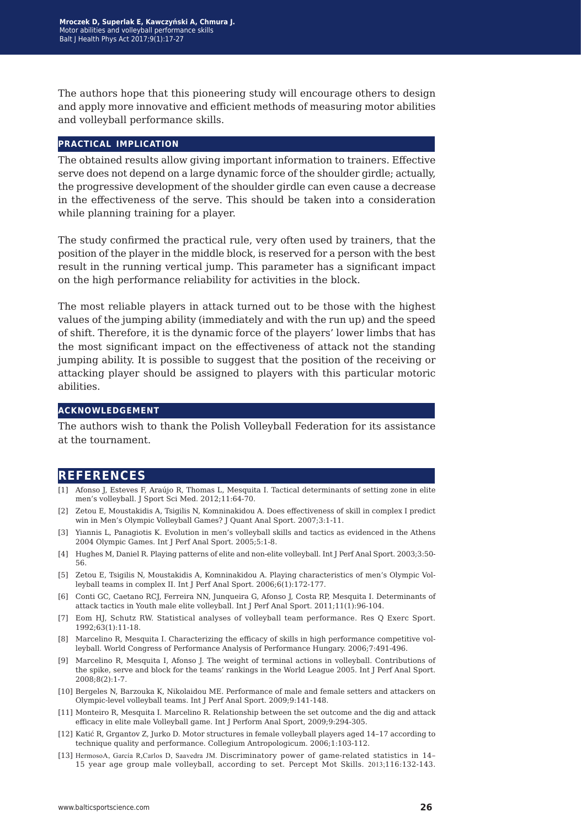The authors hope that this pioneering study will encourage others to design and apply more innovative and efficient methods of measuring motor abilities and volleyball performance skills.

#### **practical implication**

The obtained results allow giving important information to trainers. Effective serve does not depend on a large dynamic force of the shoulder girdle; actually, the progressive development of the shoulder girdle can even cause a decrease in the effectiveness of the serve. This should be taken into a consideration while planning training for a player.

The study confirmed the practical rule, very often used by trainers, that the position of the player in the middle block, is reserved for a person with the best result in the running vertical jump. This parameter has a significant impact on the high performance reliability for activities in the block.

The most reliable players in attack turned out to be those with the highest values of the jumping ability (immediately and with the run up) and the speed of shift. Therefore, it is the dynamic force of the players' lower limbs that has the most significant impact on the effectiveness of attack not the standing jumping ability. It is possible to suggest that the position of the receiving or attacking player should be assigned to players with this particular motoric abilities.

#### **acknowledgement**

The authors wish to thank the Polish Volleyball Federation for its assistance at the tournament.

### **references**

- [1] Afonso J, Esteves F, Araújo R, Thomas L, Mesquita I. Tactical determinants of setting zone in elite men's volleyball. J Sport Sci Med. 2012;11:64-70.
- [2] Zetou E, Moustakidis A, Tsigilis N, Komninakidou A. Does effectiveness of skill in complex I predict win in Men's Olympic Volleyball Games? J Quant Anal Sport. 2007;3:1-11.
- [3] Yiannis L, Panagiotis K. Evolution in men's volleyball skills and tactics as evidenced in the Athens 2004 Olympic Games. Int J Perf Anal Sport. 2005;5:1-8.
- [4] Hughes M, Daniel R. Playing patterns of elite and non-elite volleyball. Int J Perf Anal Sport. 2003;3:50- 56.
- [5] Zetou E, Tsigilis N, Moustakidis A, Komninakidou A. Playing characteristics of men's Olympic Volleyball teams in complex II. Int J Perf Anal Sport. 2006;6(1):172-177.
- [6] Conti GC, Caetano RCJ, Ferreira NN, Junqueira G, Afonso J, Costa RP, Mesquita I. Determinants of attack tactics in Youth male elite volleyball. Int J Perf Anal Sport. 2011;11(1):96-104.
- [7] Eom HJ, Schutz RW. Statistical analyses of volleyball team performance. Res Q Exerc Sport. 1992;63(1):11-18.
- [8] Marcelino R, Mesquita I. Characterizing the efficacy of skills in high performance competitive volleyball. World Congress of Performance Analysis of Performance Hungary. 2006;7:491-496.
- [9] Marcelino R, Mesquita I, Afonso J. The weight of terminal actions in volleyball. Contributions of the spike, serve and block for the teams' rankings in the World League 2005. Int J Perf Anal Sport. 2008;8(2):1-7.
- [10] Bergeles N, Barzouka K, Nikolaidou ME. Performance of male and female setters and attackers on Olympic-level volleyball teams. Int J Perf Anal Sport. 2009;9:141-148.
- [11] Monteiro R, Mesquita I. Marcelino R. Relationship between the set outcome and the dig and attack efficacy in elite male Volleyball game. Int J Perform Anal Sport, 2009;9:294-305.
- [12] Katić R, Grgantov Z, Jurko D. Motor structures in female volleyball players aged 14–17 according to technique quality and performance. Collegium Antropologicum. 2006;1:103-112.
- [13] HermosoA, García R,Carlos D, Saavedra JM. Discriminatory power of game-related statistics in 14– 15 year age group male volleyball, according to set. Percept Mot Skills. 2013;116:132-143.